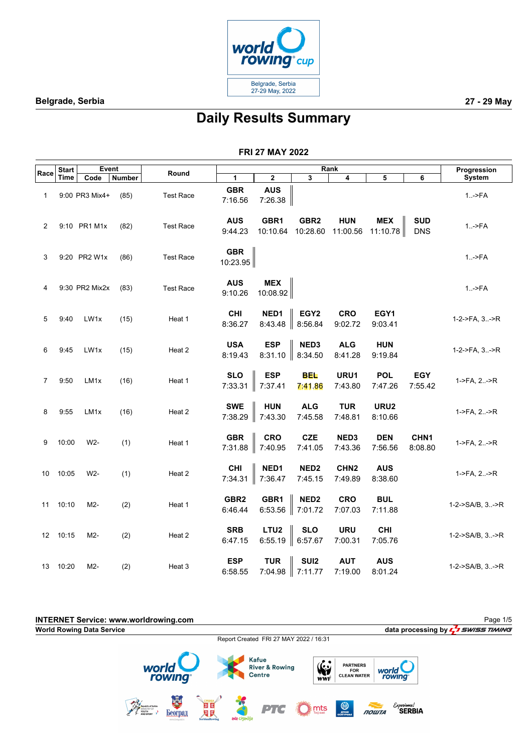

# **Daily Results Summary**

|                | <b>Start</b> | <b>Event</b>     |        |                  |                             |                             |                              | Rank                        |                        |                             | Progression        |
|----------------|--------------|------------------|--------|------------------|-----------------------------|-----------------------------|------------------------------|-----------------------------|------------------------|-----------------------------|--------------------|
| Race           | Time         | Code             | Number | Round            | 1                           | $\bf 2$                     | 3                            | 4                           | 5                      | 6                           | <b>System</b>      |
| 1              |              | 9:00 PR3 Mix4+   | (85)   | <b>Test Race</b> | <b>GBR</b><br>7:16.56       | <b>AUS</b><br>7:26.38       |                              |                             |                        |                             | $1. -$ - $FA$      |
| $\overline{2}$ |              | 9:10 PR1 M1x     | (82)   | <b>Test Race</b> | <b>AUS</b><br>9:44.23       | GBR1<br>10:10.64            | GBR <sub>2</sub><br>10:28.60 | <b>HUN</b><br>11:00.56      | <b>MEX</b><br>11:10.78 | <b>SUD</b><br><b>DNS</b>    | $1.  >FA$          |
| 3              |              | 9:20 PR2 W1x     | (86)   | <b>Test Race</b> | <b>GBR</b><br>10:23.95      |                             |                              |                             |                        |                             | $1.  >FA$          |
| 4              |              | 9:30 PR2 Mix2x   | (83)   | <b>Test Race</b> | <b>AUS</b><br>9:10.26       | <b>MEX</b><br>10:08.92      |                              |                             |                        |                             | $1.   FA$          |
| 5              | 9:40         | LW1x             | (15)   | Heat 1           | <b>CHI</b><br>8:36.27       | NED1<br>8:43.48             | EGY <sub>2</sub><br>8:56.84  | <b>CRO</b><br>9:02.72       | EGY1<br>9:03.41        |                             | 1-2->FA, 3->R      |
| 6              | 9:45         | LW1x             | (15)   | Heat 2           | <b>USA</b><br>8:19.43       | <b>ESP</b><br>8:31.10       | NED3<br>8:34.50              | <b>ALG</b><br>8:41.28       | <b>HUN</b><br>9:19.84  |                             | 1-2->FA, 3->R      |
| 7              | 9:50         | LM <sub>1x</sub> | (16)   | Heat 1           | <b>SLO</b><br>7:33.31       | <b>ESP</b><br>7:37.41       | <b>BEL</b><br>7:41.86        | URU1<br>7:43.80             | <b>POL</b><br>7:47.26  | <b>EGY</b><br>7:55.42       | 1->FA, 2->R        |
| 8              | 9:55         | LM1x             | (16)   | Heat 2           | <b>SWE</b><br>7:38.29       | <b>HUN</b><br>7:43.30       | <b>ALG</b><br>7:45.58        | <b>TUR</b><br>7:48.81       | URU2<br>8:10.66        |                             | 1->FA, $2.-\geq R$ |
| 9              | 10:00        | W2-              | (1)    | Heat 1           | <b>GBR</b><br>7:31.88       | <b>CRO</b><br>7:40.95       | <b>CZE</b><br>7:41.05        | NED3<br>7:43.36             | <b>DEN</b><br>7:56.56  | CHN <sub>1</sub><br>8:08.80 | 1->FA, 2->R        |
| 10             | 10:05        | W2-              | (1)    | Heat 2           | <b>CHI</b><br>7:34.31       | NED1<br>7:36.47             | NED <sub>2</sub><br>7:45.15  | CHN <sub>2</sub><br>7:49.89 | <b>AUS</b><br>8:38.60  |                             | 1->FA, 2->R        |
| 11             | 10:10        | M2-              | (2)    | Heat 1           | GBR <sub>2</sub><br>6:46.44 | GBR1<br>6:53.56             | NED <sub>2</sub><br>7:01.72  | <b>CRO</b><br>7:07.03       | <b>BUL</b><br>7:11.88  |                             | 1-2->SA/B, 3->R    |
| 12             | 10:15        | M2-              | (2)    | Heat 2           | <b>SRB</b><br>6:47.15       | LTU <sub>2</sub><br>6:55.19 | <b>SLO</b><br>6:57.67        | <b>URU</b><br>7:00.31       | <b>CHI</b><br>7:05.76  |                             | 1-2->SA/B, 3->R    |
| 13             | 10:20        | M2-              | (2)    | Heat 3           | <b>ESP</b><br>6:58.55       | <b>TUR</b><br>7:04.98       | SUI <sub>2</sub><br>7:11.77  | <b>AUT</b><br>7:19.00       | <b>AUS</b><br>8:01.24  |                             | 1-2->SA/B, 3->R    |

| <b>INTERNET Service: www.worldrowing.com</b> |                                                                       |                                           |               |                                                            |                            |                                                     |                                       | Page 1/5                              |
|----------------------------------------------|-----------------------------------------------------------------------|-------------------------------------------|---------------|------------------------------------------------------------|----------------------------|-----------------------------------------------------|---------------------------------------|---------------------------------------|
| <b>World Rowing Data Service</b>             |                                                                       |                                           |               |                                                            |                            |                                                     |                                       | data processing by $L^2$ SWISS TIMING |
|                                              |                                                                       |                                           |               | Report Created FRI 27 MAY 2022 / 16:31                     |                            |                                                     |                                       |                                       |
|                                              | world<br><b>rowing</b>                                                |                                           |               | <b>Kafue</b><br><b>River &amp; Rowing</b><br><b>Centre</b> | $\mathbf{G}$<br><b>WWF</b> | <b>PARTNERS</b><br><b>FOR</b><br><b>CLEAN WATER</b> | world<br>rowing                       |                                       |
|                                              | Republic of Serbia<br>YOUTH<br>AND SPORT<br>Београд<br>www.beograd.rs | СРБИЈ<br>国区<br>四回<br><b>SerbianRowing</b> | ada ciganlija | PTG                                                        | $\sum_{\text{m}}$ mts      | <b>OCHITYPAN</b>                                    | Experience!<br><b>SERBIA</b><br>ПОШТА |                                       |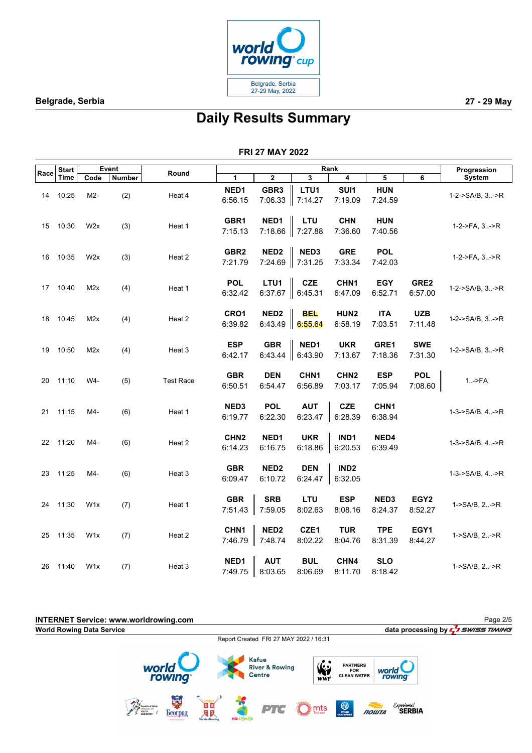

# **Daily Results Summary**

|      | <b>Start</b> |                  | Event         |                  |                             |                             |                             | Rank                        |                       |                             | Progression             |
|------|--------------|------------------|---------------|------------------|-----------------------------|-----------------------------|-----------------------------|-----------------------------|-----------------------|-----------------------------|-------------------------|
| Race | Time         | Code             | <b>Number</b> | Round            | $\mathbf{1}$                | $\mathbf 2$                 | 3                           | 4                           | 5                     | 6                           | <b>System</b>           |
| 14   | 10:25        | M2-              | (2)           | Heat 4           | NED1<br>6:56.15             | GBR <sub>3</sub><br>7:06.33 | LTU1<br>7:14.27             | SUI1<br>7:19.09             | <b>HUN</b><br>7:24.59 |                             | 1-2->SA/B, 3->R         |
| 15   | 10:30        | W2x              | (3)           | Heat 1           | GBR1<br>7:15.13             | NED1<br>7:18.66             | LTU<br>7:27.88              | <b>CHN</b><br>7:36.60       | <b>HUN</b><br>7:40.56 |                             | 1-2->FA, 3->R           |
| 16   | 10:35        | W <sub>2</sub> x | (3)           | Heat 2           | GBR <sub>2</sub><br>7:21.79 | NED <sub>2</sub><br>7:24.69 | NED3<br>7:31.25             | <b>GRE</b><br>7:33.34       | <b>POL</b><br>7:42.03 |                             | 1-2->FA, 3->R           |
| 17   | 10:40        | M2x              | (4)           | Heat 1           | <b>POL</b><br>6:32.42       | LTU1<br>6:37.67             | <b>CZE</b><br>6:45.31       | CHN1<br>6:47.09             | <b>EGY</b><br>6:52.71 | GRE2<br>6:57.00             | 1-2->SA/B, 3->R         |
| 18   | 10:45        | M2x              | (4)           | Heat 2           | CRO1<br>6:39.82             | NED <sub>2</sub><br>6:43.49 | <b>BEL</b><br>6:55.64       | HUN2<br>6:58.19             | <b>ITA</b><br>7:03.51 | <b>UZB</b><br>7:11.48       | 1-2->SA/B, 3->R         |
| 19   | 10:50        | M2x              | (4)           | Heat 3           | <b>ESP</b><br>6:42.17       | <b>GBR</b><br>6:43.44       | NED1<br>6:43.90             | <b>UKR</b><br>7:13.67       | GRE1<br>7:18.36       | <b>SWE</b><br>7:31.30       | $1-2$ ->SA/B, $3. -$ >R |
| 20   | 11:10        | W4-              | (5)           | <b>Test Race</b> | <b>GBR</b><br>6:50.51       | <b>DEN</b><br>6:54.47       | CHN <sub>1</sub><br>6:56.89 | CHN <sub>2</sub><br>7:03.17 | <b>ESP</b><br>7:05.94 | <b>POL</b><br>7:08.60       | $1.-$ >FA               |
| 21   | 11:15        | M4-              | (6)           | Heat 1           | NED3<br>6:19.77             | <b>POL</b><br>6:22.30       | <b>AUT</b><br>6:23.47       | CZE<br>6:28.39              | CHN1<br>6:38.94       |                             | 1-3->SA/B, 4->R         |
|      | 22 11:20     | M4-              | (6)           | Heat 2           | CHN <sub>2</sub><br>6:14.23 | NED1<br>6:16.75             | <b>UKR</b><br>6:18.86       | IND1<br>6:20.53             | NED4<br>6:39.49       |                             | 1-3->SA/B, 4->R         |
| 23   | 11:25        | M4-              | (6)           | Heat 3           | <b>GBR</b><br>6:09.47       | NED <sub>2</sub><br>6:10.72 | <b>DEN</b><br>6:24.47       | IND <sub>2</sub><br>6:32.05 |                       |                             | 1-3->SA/B, 4->R         |
| 24   | 11:30        | W <sub>1</sub> x | (7)           | Heat 1           | <b>GBR</b><br>7:51.43       | <b>SRB</b><br>7:59.05       | LTU<br>8:02.63              | <b>ESP</b><br>8:08.16       | NED3<br>8:24.37       | EGY <sub>2</sub><br>8:52.27 | 1->SA/B, 2->R           |
| 25   | 11:35        | W <sub>1</sub> x | (7)           | Heat 2           | CHN1<br>7:46.79             | NED <sub>2</sub><br>7:48.74 | CZE1<br>8:02.22             | <b>TUR</b><br>8:04.76       | <b>TPE</b><br>8:31.39 | EGY1<br>8:44.27             | 1->SA/B, 2->R           |
| 26   | 11:40        | W <sub>1</sub> x | (7)           | Heat 3           | NED1<br>7:49.75             | <b>AUT</b><br>8:03.65       | <b>BUL</b><br>8:06.69       | CHN4<br>8:11.70             | <b>SLO</b><br>8:18.42 |                             | 1->SA/B, 2->R           |

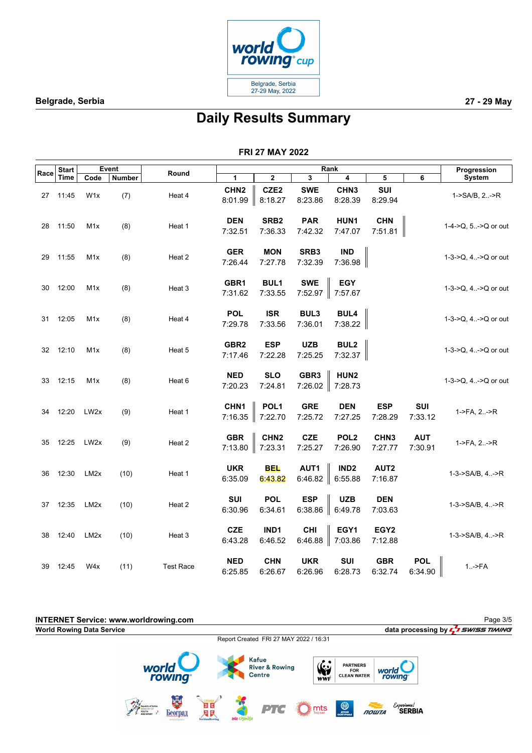

# **Daily Results Summary**

|      | <b>Start</b> |                   | Event         |                  |                             |                             |                             | Rank                                |                             |                       | Progression           |
|------|--------------|-------------------|---------------|------------------|-----------------------------|-----------------------------|-----------------------------|-------------------------------------|-----------------------------|-----------------------|-----------------------|
| Race | Time         | Code              | <b>Number</b> | Round            | 1                           | 2                           | 3                           | 4                                   | 5                           | 6                     | System                |
| 27   | 11:45        | W <sub>1</sub> x  | (7)           | Heat 4           | CHN <sub>2</sub><br>8:01.99 | CZE <sub>2</sub><br>8:18.27 | <b>SWE</b><br>8:23.86       | CHN <sub>3</sub><br>8:28.39         | SUI<br>8:29.94              |                       | 1->SA/B, 2->R         |
| 28   | 11:50        | M <sub>1</sub> x  | (8)           | Heat 1           | <b>DEN</b><br>7:32.51       | SRB <sub>2</sub><br>7:36.33 | <b>PAR</b><br>7:42.32       | HUN1<br>7:47.07                     | <b>CHN</b><br>7:51.81       |                       | 1-4->Q, 5->Q or out   |
| 29   | 11:55        | M <sub>1</sub> x  | (8)           | Heat 2           | <b>GER</b><br>7:26.44       | <b>MON</b><br>7:27.78       | SRB3<br>7:32.39             | <b>IND</b><br>7:36.98               |                             |                       | 1-3->Q, 4->Q or out   |
| 30   | 12:00        | M <sub>1</sub> x  | (8)           | Heat 3           | GBR1<br>7:31.62             | <b>BUL1</b><br>7:33.55      | <b>SWE</b><br>7:52.97       | <b>EGY</b><br>7:57.67               |                             |                       | 1-3->Q, 4->Q or out   |
| 31   | 12:05        | M <sub>1</sub> x  | (8)           | Heat 4           | <b>POL</b><br>7:29.78       | <b>ISR</b><br>7:33.56       | BUL3<br>7:36.01             | <b>BUL4</b><br>7:38.22              |                             |                       | 1-3->Q, 4->Q or out   |
| 32   | 12:10        | M <sub>1</sub> x  | (8)           | Heat 5           | GBR <sub>2</sub><br>7:17.46 | <b>ESP</b><br>7:22.28       | <b>UZB</b><br>7:25.25       | <b>BUL2</b><br>7:32.37              |                             |                       | 1-3->Q, 4->Q or out   |
| 33   | 12:15        | M <sub>1</sub> x  | (8)           | Heat 6           | <b>NED</b><br>7:20.23       | <b>SLO</b><br>7:24.81       | GBR <sub>3</sub><br>7:26.02 | HUN <sub>2</sub><br>7:28.73         |                             |                       | 1-3->Q, 4->Q or out   |
| 34   | 12:20        | LW <sub>2x</sub>  | (9)           | Heat 1           | CHN1<br>7:16.35             | POL <sub>1</sub><br>7:22.70 | <b>GRE</b><br>7:25.72       | <b>DEN</b><br>7:27.25               | <b>ESP</b><br>7:28.29       | SUI<br>7:33.12        | 1->FA, 2->R           |
| 35   | 12:25        | LW <sub>2x</sub>  | (9)           | Heat 2           | <b>GBR</b><br>7:13.80       | CHN <sub>2</sub><br>7:23.31 | <b>CZE</b><br>7:25.27       | POL <sub>2</sub><br>7:26.90         | CHN <sub>3</sub><br>7:27.77 | <b>AUT</b><br>7:30.91 | $1-PFA, 2. -PR$       |
| 36   | 12:30        | LM <sub>2</sub> x | (10)          | Heat 1           | <b>UKR</b><br>6:35.09       | <b>BEL</b><br>6:43.82       | AUT1                        | IND <sub>2</sub><br>6:46.82 6:55.88 | AUT2<br>7:16.87             |                       | 1-3->SA/B, 4->R       |
| 37   | 12:35        | LM <sub>2</sub> x | (10)          | Heat 2           | SUI<br>6:30.96              | <b>POL</b><br>6:34.61       | <b>ESP</b><br>6:38.86       | <b>UZB</b><br>$\ $ 6:49.78          | <b>DEN</b><br>7:03.63       |                       | $1-3$ ->SA/B, $4$ ->R |
| 38   | 12:40        | LM <sub>2</sub> x | (10)          | Heat 3           | <b>CZE</b><br>6:43.28       | IND1<br>6:46.52             | <b>CHI</b>                  | EGY1<br>6:46.88 $\parallel$ 7:03.86 | EGY <sub>2</sub><br>7:12.88 |                       | 1-3->SA/B, 4->R       |
| 39   | 12:45        | W4x               | (11)          | <b>Test Race</b> | <b>NED</b><br>6:25.85       | <b>CHN</b><br>6:26.67       | <b>UKR</b><br>6:26.96       | SUI<br>6:28.73                      | <b>GBR</b><br>6:32.74       | <b>POL</b><br>6:34.90 | $1.   FA$             |

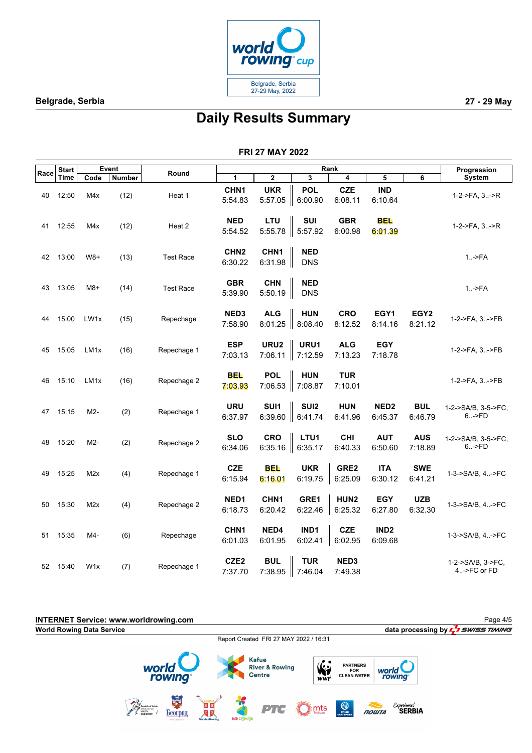

# **Daily Results Summary**

|      | <b>Start</b> |                  | <b>Event</b>  |                  |                             |                             |                             | Rank                        |                             |                             | Progression                       |
|------|--------------|------------------|---------------|------------------|-----------------------------|-----------------------------|-----------------------------|-----------------------------|-----------------------------|-----------------------------|-----------------------------------|
| Race | Time         | Code             | <b>Number</b> | Round            | 1                           | 2                           | 3                           | 4                           | 5                           | 6                           | System                            |
| 40   | 12:50        | M4x              | (12)          | Heat 1           | CHN1<br>5:54.83             | <b>UKR</b><br>5:57.05       | <b>POL</b><br>6:00.90       | <b>CZE</b><br>6:08.11       | <b>IND</b><br>6:10.64       |                             | 1-2->FA, 3->R                     |
| 41   | 12:55        | M4x              | (12)          | Heat 2           | <b>NED</b><br>5:54.52       | LTU<br>5:55.78              | <b>SUI</b><br>5:57.92       | <b>GBR</b><br>6:00.98       | <b>BEL</b><br>6:01.39       |                             | $1-2-5FA$ , $3. -5R$              |
| 42   | 13:00        | $W8+$            | (13)          | <b>Test Race</b> | CHN <sub>2</sub><br>6:30.22 | CHN <sub>1</sub><br>6:31.98 | <b>NED</b><br><b>DNS</b>    |                             |                             |                             | $1.   FA$                         |
| 43   | 13:05        | $M8+$            | (14)          | <b>Test Race</b> | <b>GBR</b><br>5:39.90       | <b>CHN</b><br>5:50.19       | <b>NED</b><br><b>DNS</b>    |                             |                             |                             | $1.   FA$                         |
| 44   | 15:00        | LW1x             | (15)          | Repechage        | NED3<br>7:58.90             | <b>ALG</b><br>8:01.25       | <b>HUN</b><br>8:08.40       | <b>CRO</b><br>8:12.52       | EGY1<br>8:14.16             | EGY <sub>2</sub><br>8:21.12 | 1-2->FA, 3->FB                    |
| 45   | 15:05        | LM <sub>1x</sub> | (16)          | Repechage 1      | <b>ESP</b><br>7:03.13       | URU2<br>7:06.11             | URU1<br>7:12.59             | <b>ALG</b><br>7:13.23       | <b>EGY</b><br>7:18.78       |                             | 1-2->FA, 3->FB                    |
| 46   | 15:10        | LM <sub>1x</sub> | (16)          | Repechage 2      | <b>BEL</b><br>7:03.93       | <b>POL</b><br>7:06.53       | <b>HUN</b><br>7:08.87       | <b>TUR</b><br>7:10.01       |                             |                             | 1-2->FA, 3->FB                    |
| 47   | 15:15        | M2-              | (2)           | Repechage 1      | <b>URU</b><br>6:37.97       | SUI1<br>6:39.60             | SUI <sub>2</sub><br>6:41.74 | <b>HUN</b><br>6:41.96       | NED <sub>2</sub><br>6:45.37 | <b>BUL</b><br>6:46.79       | 1-2->SA/B, 3-5->FC,<br>6->FD      |
| 48   | 15:20        | M2-              | (2)           | Repechage 2      | <b>SLO</b><br>6:34.06       | <b>CRO</b><br>6:35.16       | LTU1<br>6:35.17             | <b>CHI</b><br>6:40.33       | <b>AUT</b><br>6:50.60       | <b>AUS</b><br>7:18.89       | 1-2->SA/B, 3-5->FC,<br>6->FD      |
| 49   | 15:25        | M2x              | (4)           | Repechage 1      | <b>CZE</b><br>6:15.94       | <b>BEL</b><br>6:16.01       | <b>UKR</b><br>6:19.75       | GRE2<br>6:25.09             | <b>ITA</b><br>6:30.12       | <b>SWE</b><br>6:41.21       | 1-3->SA/B, 4->FC                  |
| 50   | 15:30        | M2x              | (4)           | Repechage 2      | NED1<br>6:18.73             | CHN <sub>1</sub><br>6:20.42 | GRE1<br>6:22.46             | HUN <sub>2</sub><br>6:25.32 | <b>EGY</b><br>6:27.80       | <b>UZB</b><br>6:32.30       | 1-3->SA/B, 4->FC                  |
| 51   | 15:35        | M4-              | (6)           | Repechage        | CHN1<br>6:01.03             | NED4<br>6:01.95             | IND1<br>6:02.41             | <b>CZE</b><br>6:02.95       | IND <sub>2</sub><br>6:09.68 |                             | 1-3->SA/B, 4->FC                  |
| 52   | 15:40        | W <sub>1</sub> x | (7)           | Repechage 1      | CZE <sub>2</sub><br>7:37.70 | <b>BUL</b><br>7:38.95       | <b>TUR</b><br>7:46.04       | NED3<br>7:49.38             |                             |                             | 1-2->SA/B, 3->FC,<br>4.->FC or FD |

| <b>INTERNET Service: www.worldrowing.com</b><br><b>World Rowing Data Service</b> |                    |                   |          |               |                                                            |                       |                  |                                                     |       |                                    | Page 4/5<br>data processing by $\frac{1}{2}$ SWISS TIMING |
|----------------------------------------------------------------------------------|--------------------|-------------------|----------|---------------|------------------------------------------------------------|-----------------------|------------------|-----------------------------------------------------|-------|------------------------------------|-----------------------------------------------------------|
|                                                                                  |                    |                   |          |               | Report Created FRI 27 MAY 2022 / 16:31                     |                       |                  |                                                     |       |                                    |                                                           |
|                                                                                  | world              | rowing            |          |               | <b>Kafue</b><br><b>River &amp; Rowing</b><br><b>Centre</b> |                       | W.<br><b>WWF</b> | <b>PARTNERS</b><br><b>FOR</b><br><b>CLEAN WATER</b> |       | world<br>rowing                    |                                                           |
|                                                                                  | YOUTH<br>AND SPORT | H<br>www.beograd. | 30<br>河回 | ada ciganlija | PTC                                                        | $\sum_{\text{m}}$ mts |                  | <b>ON THAB</b>                                      | ПОШТА | Experience!<br><sup>'</sup> SERBIA |                                                           |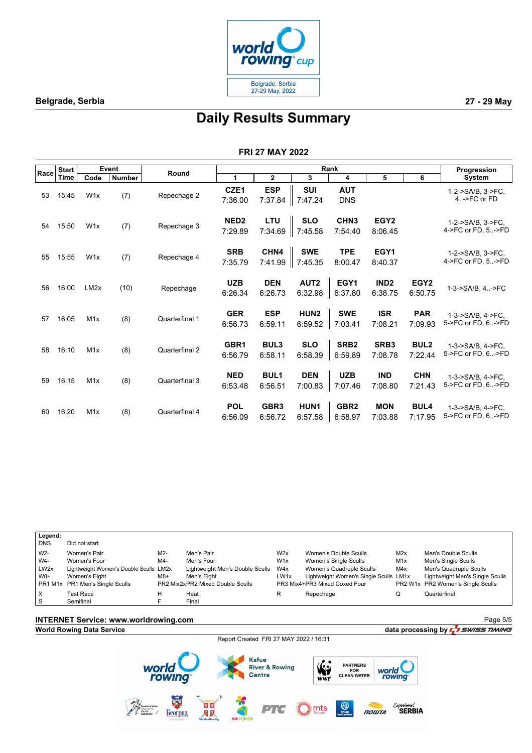

## **Daily Results Summary**

#### **FRI 27 MAY 2022**

|      | <b>Start</b> |                   | Event         | Round          |                             |                             |                             | Rank                        |                             |                             | Progression                               |
|------|--------------|-------------------|---------------|----------------|-----------------------------|-----------------------------|-----------------------------|-----------------------------|-----------------------------|-----------------------------|-------------------------------------------|
| Race | Time         | Code              | <b>Number</b> |                | 1                           | $\mathbf{2}$                | 3                           | 4                           | 5                           | 6                           | <b>System</b>                             |
| 53   | 15:45        | W <sub>1</sub> x  | (7)           | Repechage 2    | CZE1<br>7:36.00             | <b>ESP</b><br>7:37.84       | <b>SUI</b><br>7:47.24       | <b>AUT</b><br><b>DNS</b>    |                             |                             | 1-2->SA/B, 3->FC,<br>$4. -$ >FC or FD     |
| 54   | 15:50        | W1x               | (7)           | Repechage 3    | NED <sub>2</sub><br>7:29.89 | LTU<br>7:34.69              | <b>SLO</b><br>7:45.58       | CHN <sub>3</sub><br>7:54.40 | EGY <sub>2</sub><br>8:06.45 |                             | 1-2->SA/B, 3->FC,<br>4->FC or FD, 5->FD   |
| 55   | 15:55        | W <sub>1x</sub>   | (7)           | Repechage 4    | <b>SRB</b><br>7:35.79       | CHN4<br>7:41.99             | <b>SWE</b><br>7:45.35       | <b>TPE</b><br>8:00.47       | EGY1<br>8:40.37             |                             | 1-2->SA/B, 3->FC,<br>4->FC or FD, 5->FD   |
| 56   | 16:00        | LM <sub>2</sub> x | (10)          | Repechage      | <b>UZB</b><br>6:26.34       | <b>DEN</b><br>6:26.73       | AUT <sub>2</sub><br>6:32.98 | EGY1<br>6:37.80             | IND <sub>2</sub><br>6:38.75 | EGY <sub>2</sub><br>6:50.75 | 1-3->SA/B, 4->FC                          |
| 57   | 16:05        | M1x               | (8)           | Quarterfinal 1 | <b>GER</b><br>6:56.73       | <b>ESP</b><br>6:59.11       | HUN <sub>2</sub><br>6:59.52 | <b>SWE</b><br>7:03.41       | <b>ISR</b><br>7:08.21       | <b>PAR</b><br>7:09.93       | 1-3->SA/B. 4->FC.<br>5->FC or FD, 6.,->FD |
| 58   | 16:10        | M1x               | (8)           | Quarterfinal 2 | GBR1<br>6:56.79             | <b>BUL3</b><br>6:58.11      | <b>SLO</b><br>6:58.39       | SRB <sub>2</sub><br>6:59.89 | SRB3<br>7:08.78             | <b>BUL2</b><br>7:22.44      | 1-3->SA/B, 4->FC.<br>5->FC or FD, 6->FD   |
| 59   | 16:15        | M1x               | (8)           | Quarterfinal 3 | <b>NED</b><br>6:53.48       | <b>BUL1</b><br>6:56.51      | <b>DEN</b><br>7:00.83       | <b>UZB</b><br>7:07.46       | <b>IND</b><br>7:08.80       | <b>CHN</b><br>7:21.43       | 1-3->SA/B. 4->FC.<br>5->FC or FD, 6.,->FD |
| 60   | 16:20        | M1x               | (8)           | Quarterfinal 4 | <b>POL</b><br>6:56.09       | GBR <sub>3</sub><br>6:56.72 | HUN <sub>1</sub><br>6:57.58 | GBR <sub>2</sub><br>6:58.97 | <b>MON</b><br>7:03.88       | <b>BUL4</b><br>7:17.95      | 1-3->SA/B, 4->FC.<br>5->FC or FD, 6->FD   |



## **INTERNET Service: www.worldrowing.com**

#### **World Rowing Data Service data processing by**  $\frac{1}{2}$  **SWISS TIMING**

Report Created FRI 27 MAY 2022 / 16:31



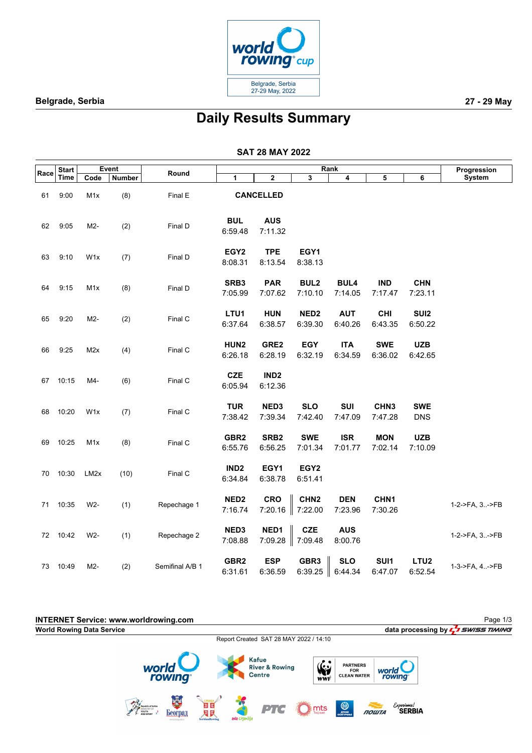

# **Daily Results Summary**

|      | <b>Start</b> |                   | Event         |                 |                             |                             |                             | Rank                   |                             |                             | Progression    |
|------|--------------|-------------------|---------------|-----------------|-----------------------------|-----------------------------|-----------------------------|------------------------|-----------------------------|-----------------------------|----------------|
| Race | <b>Time</b>  | Code              | <b>Number</b> | Round           | 1                           | 2                           | 3                           | 4                      | 5                           | 6                           | System         |
| 61   | 9:00         | M1x               | (8)           | Final E         |                             | <b>CANCELLED</b>            |                             |                        |                             |                             |                |
| 62   | 9:05         | M2-               | (2)           | Final D         | <b>BUL</b><br>6:59.48       | <b>AUS</b><br>7:11.32       |                             |                        |                             |                             |                |
| 63   | 9:10         | W <sub>1x</sub>   | (7)           | Final D         | EGY <sub>2</sub><br>8:08.31 | <b>TPE</b><br>8:13.54       | EGY1<br>8:38.13             |                        |                             |                             |                |
| 64   | 9:15         | M <sub>1</sub> x  | (8)           | Final D         | SRB3<br>7:05.99             | <b>PAR</b><br>7:07.62       | <b>BUL2</b><br>7:10.10      | <b>BUL4</b><br>7:14.05 | <b>IND</b><br>7:17.47       | <b>CHN</b><br>7:23.11       |                |
| 65   | 9:20         | M2-               | (2)           | Final C         | LTU1<br>6:37.64             | <b>HUN</b><br>6:38.57       | NED <sub>2</sub><br>6:39.30 | <b>AUT</b><br>6:40.26  | <b>CHI</b><br>6:43.35       | SUI <sub>2</sub><br>6:50.22 |                |
| 66   | 9:25         | M2x               | (4)           | Final C         | HUN2<br>6:26.18             | GRE2<br>6:28.19             | <b>EGY</b><br>6:32.19       | <b>ITA</b><br>6:34.59  | <b>SWE</b><br>6:36.02       | <b>UZB</b><br>6:42.65       |                |
| 67   | 10:15        | M4-               | (6)           | Final C         | <b>CZE</b><br>6:05.94       | IND <sub>2</sub><br>6:12.36 |                             |                        |                             |                             |                |
| 68   | 10:20        | W <sub>1</sub> x  | (7)           | Final C         | <b>TUR</b><br>7:38.42       | NED <sub>3</sub><br>7:39.34 | <b>SLO</b><br>7:42.40       | SUI<br>7:47.09         | CHN <sub>3</sub><br>7:47.28 | <b>SWE</b><br><b>DNS</b>    |                |
| 69   | 10:25        | M <sub>1</sub> x  | (8)           | Final C         | GBR <sub>2</sub><br>6:55.76 | SRB <sub>2</sub><br>6:56.25 | <b>SWE</b><br>7:01.34       | <b>ISR</b><br>7:01.77  | <b>MON</b><br>7:02.14       | <b>UZB</b><br>7:10.09       |                |
| 70   | 10:30        | LM <sub>2</sub> x | (10)          | Final C         | IND <sub>2</sub><br>6:34.84 | EGY1<br>6:38.78             | EGY <sub>2</sub><br>6:51.41 |                        |                             |                             |                |
| 71   | 10:35        | W2-               | (1)           | Repechage 1     | NED <sub>2</sub><br>7:16.74 | <b>CRO</b><br>7:20.16       | CHN <sub>2</sub><br>7:22.00 | <b>DEN</b><br>7:23.96  | CHN <sub>1</sub><br>7:30.26 |                             | 1-2->FA, 3->FB |
|      | 72 10:42     | W2-               | (1)           | Repechage 2     | NED3<br>7:08.88             | NED1<br>7:09.28             | <b>CZE</b><br>7:09.48       | <b>AUS</b><br>8:00.76  |                             |                             | 1-2->FA, 3->FB |
|      | 73 10:49     | M2-               | (2)           | Semifinal A/B 1 | GBR <sub>2</sub><br>6:31.61 | <b>ESP</b><br>6:36.59       | GBR <sub>3</sub><br>6:39.25 | <b>SLO</b><br>6:44.34  | SUI1<br>6:47.07             | LTU <sub>2</sub><br>6:52.54 | 1-3->FA, 4->FB |

| <b>INTERNET Service: www.worldrowing.com</b><br><b>World Rowing Data Service</b> |                                          |                                 |                                  |               |                                                            |                                        |                                                     |                     |                              | data processing by $L^2$ SWISS TIMING | Page 1/3 |
|----------------------------------------------------------------------------------|------------------------------------------|---------------------------------|----------------------------------|---------------|------------------------------------------------------------|----------------------------------------|-----------------------------------------------------|---------------------|------------------------------|---------------------------------------|----------|
|                                                                                  |                                          |                                 |                                  |               |                                                            | Report Created SAT 28 MAY 2022 / 14:10 |                                                     |                     |                              |                                       |          |
|                                                                                  | world                                    | rowing                          |                                  |               | <b>Kafue</b><br><b>River &amp; Rowing</b><br><b>Centre</b> | <b>VEY</b><br>WWF                      | <b>PARTNERS</b><br><b>FOR</b><br><b>CLEAN WATER</b> |                     | world<br>rowing              |                                       |          |
|                                                                                  | Republic of Serbia<br>YOUTH<br>AND SPORT | H.<br>Београл<br>www.beograd.rr | 回回<br>四区<br><b>SerbianRowing</b> | ada ciganlija | PTG                                                        | $\sum_{\text{m} \text{ mod } 2}$       | <b>ON</b>                                           | <b><i>ПОШТА</i></b> | Experience!<br><b>SERBIA</b> |                                       |          |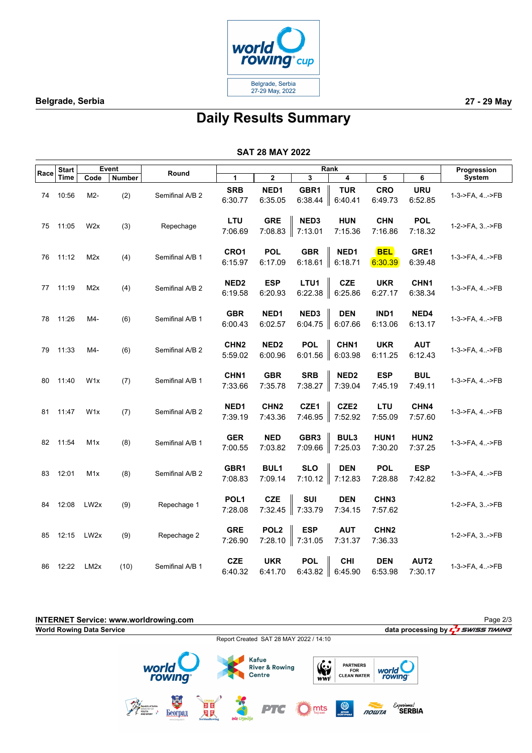

## **Daily Results Summary**

| <b>SAT 28 MAY 2022</b> |  |  |
|------------------------|--|--|
|------------------------|--|--|

|      | <b>Start</b> |                  | Event         |                 |                             |                             |                               | Rank                                 |                             |                             | Progression    |
|------|--------------|------------------|---------------|-----------------|-----------------------------|-----------------------------|-------------------------------|--------------------------------------|-----------------------------|-----------------------------|----------------|
| Race | Time         | Code             | <b>Number</b> | Round           | 1                           | $\mathbf 2$                 | 3                             | 4                                    | 5                           | 6                           | System         |
| 74   | 10:56        | M2-              | (2)           | Semifinal A/B 2 | <b>SRB</b><br>6:30.77       | NED1<br>6:35.05             | GBR1<br>6:38.44               | <b>TUR</b><br>6:40.41                | <b>CRO</b><br>6:49.73       | <b>URU</b><br>6:52.85       | 1-3->FA, 4->FB |
| 75   | 11:05        | W <sub>2</sub> x | (3)           | Repechage       | LTU<br>7:06.69              | <b>GRE</b><br>7:08.83       | NED3<br>7:13.01               | <b>HUN</b><br>7:15.36                | <b>CHN</b><br>7:16.86       | <b>POL</b><br>7:18.32       | 1-2->FA, 3->FB |
| 76   | 11:12        | M2x              | (4)           | Semifinal A/B 1 | CRO1<br>6:15.97             | <b>POL</b><br>6:17.09       | <b>GBR</b><br>6:18.61         | NED1<br>6:18.71                      | <b>BEL</b><br>6:30.39       | GRE1<br>6:39.48             | 1-3->FA, 4->FB |
| 77   | 11:19        | M2x              | (4)           | Semifinal A/B 2 | NED <sub>2</sub><br>6:19.58 | <b>ESP</b><br>6:20.93       | LTU1                          | <b>CZE</b><br>6:22.38 $\ $ 6:25.86   | <b>UKR</b><br>6:27.17       | CHN <sub>1</sub><br>6:38.34 | 1-3->FA, 4->FB |
| 78   | 11:26        | M4-              | (6)           | Semifinal A/B 1 | <b>GBR</b><br>6:00.43       | NED1<br>6:02.57             | NED3                          | <b>DEN</b><br>$6:04.75$ $\ $ 6:07.66 | IND1<br>6:13.06             | NED4<br>6:13.17             | 1-3->FA, 4->FB |
| 79   | 11:33        | M4-              | (6)           | Semifinal A/B 2 | CHN <sub>2</sub><br>5:59.02 | NED <sub>2</sub><br>6:00.96 | <b>POL</b><br>6:01.56         | CHN1<br>$\  6:03.98$                 | <b>UKR</b><br>6:11.25       | <b>AUT</b><br>6:12.43       | 1-3->FA, 4->FB |
| 80   | 11:40        | W <sub>1</sub> x | (7)           | Semifinal A/B 1 | CHN <sub>1</sub><br>7:33.66 | <b>GBR</b><br>7:35.78       | <b>SRB</b><br>7:38.27         | NED <sub>2</sub><br>7:39.04          | <b>ESP</b><br>7:45.19       | <b>BUL</b><br>7:49.11       | 1-3->FA, 4->FB |
| 81   | 11:47        | W <sub>1</sub> x | (7)           | Semifinal A/B 2 | NED1<br>7:39.19             | CHN <sub>2</sub><br>7:43.36 | CZE1<br>7:46.95               | CZE <sub>2</sub><br>7:52.92          | LTU<br>7:55.09              | CHN4<br>7:57.60             | 1-3->FA, 4->FB |
|      | 82 11:54     | M <sub>1</sub> x | (8)           | Semifinal A/B 1 | <b>GER</b><br>7:00.55       | <b>NED</b><br>7:03.82       | GBR <sub>3</sub><br>7:09.66   | BUL3<br> 7:25.03                     | HUN1<br>7:30.20             | HUN2<br>7:37.25             | 1-3->FA, 4->FB |
| 83   | 12:01        | M <sub>1</sub> x | (8)           | Semifinal A/B 2 | GBR1<br>7:08.83             | <b>BUL1</b><br>7:09.14      | <b>SLO</b><br>7:10.12 7:12.83 | <b>DEN</b>                           | <b>POL</b><br>7:28.88       | <b>ESP</b><br>7:42.82       | 1-3->FA, 4->FB |
| 84   | 12:08        | LW <sub>2x</sub> | (9)           | Repechage 1     | POL <sub>1</sub><br>7:28.08 | <b>CZE</b><br>7:32.45       | <b>SUI</b><br> 7:33.79        | <b>DEN</b><br>7:34.15                | CHN <sub>3</sub><br>7:57.62 |                             | 1-2->FA, 3->FB |
| 85   | 12:15        | LW <sub>2x</sub> | (9)           | Repechage 2     | <b>GRE</b><br>7:26.90       | POL <sub>2</sub><br>7:28.10 | <b>ESP</b><br>$\  7:31.05$    | <b>AUT</b><br>7:31.37                | CHN <sub>2</sub><br>7:36.33 |                             | 1-2->FA, 3->FB |
| 86   | 12:22        | LM2x             | (10)          | Semifinal A/B 1 | <b>CZE</b><br>6:40.32       | <b>UKR</b><br>6:41.70       | <b>POL</b><br>6:43.82         | <b>CHI</b><br>6:45.90                | <b>DEN</b><br>6:53.98       | AUT <sub>2</sub><br>7:30.17 | 1-3->FA, 4->FB |

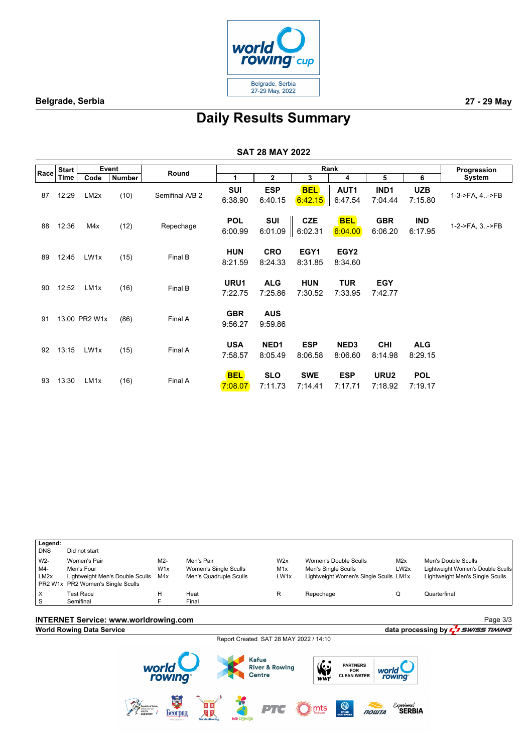

Page 3/3

# **Daily Results Summary**

#### **SAT 28 MAY 2022**

|      | <b>Start</b> |                   | <b>Event</b>  | Round           |                       |                             |                       | Rank                        |                             |                       | Progression    |
|------|--------------|-------------------|---------------|-----------------|-----------------------|-----------------------------|-----------------------|-----------------------------|-----------------------------|-----------------------|----------------|
| Race | Time         | Code              | <b>Number</b> |                 | 1                     | $\mathbf{2}$                | 3                     | 4                           | 5                           | 6                     | System         |
| 87   | 12:29        | LM <sub>2</sub> x | (10)          | Semifinal A/B 2 | <b>SUI</b><br>6:38.90 | <b>ESP</b><br>6:40.15       | <b>BEL</b><br>6:42.15 | AUT1<br>6:47.54             | IND <sub>1</sub><br>7:04.44 | <b>UZB</b><br>7:15.80 | 1-3->FA, 4->FB |
| 88   | 12:36        | M4x               | (12)          | Repechage       | <b>POL</b><br>6:00.99 | SUI<br>6:01.09              | <b>CZE</b><br>6:02.31 | <b>BEL</b><br>6:04.00       | <b>GBR</b><br>6:06.20       | <b>IND</b><br>6:17.95 | 1-2->FA, 3->FB |
| 89   | 12:45        | LW1x              | (15)          | Final B         | <b>HUN</b><br>8:21.59 | <b>CRO</b><br>8:24.33       | EGY1<br>8:31.85       | EGY <sub>2</sub><br>8:34.60 |                             |                       |                |
| 90   | 12:52        | LM <sub>1x</sub>  | (16)          | Final B         | URU1<br>7:22.75       | <b>ALG</b><br>7:25.86       | <b>HUN</b><br>7:30.52 | <b>TUR</b><br>7:33.95       | <b>EGY</b><br>7:42.77       |                       |                |
| 91   |              | 13:00 PR2 W1x     | (86)          | Final A         | <b>GBR</b><br>9:56.27 | <b>AUS</b><br>9:59.86       |                       |                             |                             |                       |                |
| 92   | 13:15        | LW1x              | (15)          | Final A         | <b>USA</b><br>7:58.57 | NED <sub>1</sub><br>8:05.49 | <b>ESP</b><br>8:06.58 | NED <sub>3</sub><br>8:06.60 | <b>CHI</b><br>8:14.98       | <b>ALG</b><br>8:29.15 |                |
| 93   | 13:30        | LM <sub>1x</sub>  | (16)          | Final A         | <b>BEL</b><br>7:08.07 | <b>SLO</b><br>7:11.73       | <b>SWE</b><br>7:14.41 | <b>ESP</b><br>7:17.71       | URU2<br>7:18.92             | <b>POL</b><br>7:19.17 |                |

| Legend:           |                                     |                  |                        |      |                                        |                  |                                   |
|-------------------|-------------------------------------|------------------|------------------------|------|----------------------------------------|------------------|-----------------------------------|
| <b>DNS</b>        | Did not start                       |                  |                        |      |                                        |                  |                                   |
| W <sub>2</sub> -  | Women's Pair                        | M2-              | Men's Pair             | W2x  | Women's Double Sculls                  | M2x              | Men's Double Sculls               |
| M4-               | Men's Four                          | W <sub>1</sub> x | Women's Single Sculls  | M1x  | Men's Single Sculls                    | LW <sub>2x</sub> | Lightweight Women's Double Sculls |
| LM <sub>2</sub> x | Lightweight Men's Double Sculls M4x |                  | Men's Quadruple Sculls | LW1x | Lightweight Women's Single Sculls LM1x |                  | Lightweight Men's Single Sculls   |
|                   | PR2 W1x PR2 Women's Single Sculls   |                  |                        |      |                                        |                  |                                   |
| X                 | <b>Test Race</b>                    | н                | Heat                   | R    | Repechage                              |                  | Quarterfinal                      |
| S                 | Semifinal                           |                  | Final                  |      |                                        |                  |                                   |

## **INTERNET Service: www.worldrowing.com**

## **World Rowing Data Service data processing by**  $\frac{1}{2}$  *swiss TIMING*

Report Created SAT 28 MAY 2022 / 14:10

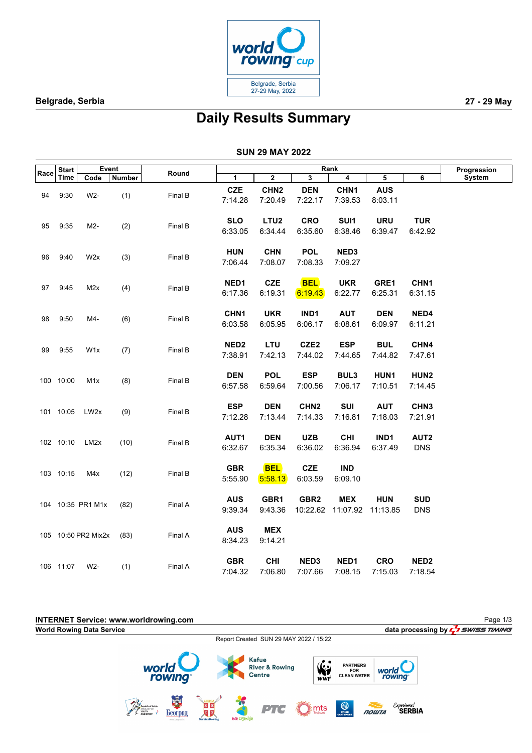

# **Daily Results Summary**

### **SUN 29 MAY 2022**

|      | <b>Start</b> |                     | Event         |         |                  |                         |                         | Rank                       |            |                  | Progression |
|------|--------------|---------------------|---------------|---------|------------------|-------------------------|-------------------------|----------------------------|------------|------------------|-------------|
| Race | <b>Time</b>  | Code                | <b>Number</b> | Round   | $\mathbf{1}$     | $\overline{\mathbf{2}}$ | $\overline{\mathbf{3}}$ | $\overline{4}$             | 5          | 6                | System      |
|      |              |                     |               |         | <b>CZE</b>       | CHN <sub>2</sub>        | <b>DEN</b>              | CHN1                       | <b>AUS</b> |                  |             |
| 94   | 9:30         | W2-                 | (1)           | Final B | 7:14.28          | 7:20.49                 | 7:22.17                 | 7:39.53                    | 8:03.11    |                  |             |
|      |              |                     |               |         |                  |                         |                         |                            |            |                  |             |
|      |              |                     |               |         | <b>SLO</b>       | LTU <sub>2</sub>        | <b>CRO</b>              | SUI1                       | <b>URU</b> | <b>TUR</b>       |             |
| 95   | 9:35         | M2-                 | (2)           | Final B | 6:33.05          | 6:34.44                 | 6:35.60                 | 6:38.46                    | 6:39.47    | 6:42.92          |             |
|      |              |                     |               |         |                  |                         |                         |                            |            |                  |             |
|      |              |                     |               |         | <b>HUN</b>       | <b>CHN</b>              | <b>POL</b>              | NED3                       |            |                  |             |
| 96   | 9:40         | W2x                 | (3)           | Final B | 7:06.44          | 7:08.07                 | 7:08.33                 | 7:09.27                    |            |                  |             |
|      |              |                     |               |         |                  |                         |                         |                            |            |                  |             |
|      |              |                     |               |         | NED1             | <b>CZE</b>              | <b>BEL</b>              | <b>UKR</b>                 | GRE1       | CHN <sub>1</sub> |             |
| 97   | 9:45         | M2x                 | (4)           | Final B | 6:17.36          | 6:19.31                 | 6:19.43                 | 6:22.77                    | 6:25.31    | 6:31.15          |             |
|      |              |                     |               |         |                  |                         |                         |                            |            |                  |             |
| 98   | 9:50         | M4-                 | (6)           | Final B | CHN1             | <b>UKR</b>              | IND1                    | <b>AUT</b>                 | <b>DEN</b> | NED4             |             |
|      |              |                     |               |         | 6:03.58          | 6:05.95                 | 6:06.17                 | 6:08.61                    | 6:09.97    | 6:11.21          |             |
|      |              |                     |               |         |                  |                         |                         |                            |            |                  |             |
| 99   | 9:55         | W <sub>1</sub> x    | (7)           | Final B | NED <sub>2</sub> | <b>LTU</b>              | CZE <sub>2</sub>        | <b>ESP</b>                 | <b>BUL</b> | CHN4             |             |
|      |              |                     |               |         | 7:38.91          | 7:42.13                 | 7:44.02                 | 7:44.65                    | 7:44.82    | 7:47.61          |             |
|      |              |                     |               |         |                  |                         |                         |                            |            |                  |             |
|      | 100 10:00    | M <sub>1</sub> x    | (8)           | Final B | <b>DEN</b>       | <b>POL</b>              | <b>ESP</b>              | BUL3                       | HUN1       | HUN2             |             |
|      |              |                     |               |         | 6:57.58          | 6:59.64                 | 7:00.56                 | 7:06.17                    | 7:10.51    | 7:14.45          |             |
|      |              |                     |               |         |                  |                         |                         |                            |            |                  |             |
|      | 101 10:05    | LW2x                | (9)           | Final B | <b>ESP</b>       | <b>DEN</b>              | CHN <sub>2</sub>        | SUI                        | <b>AUT</b> | CHN <sub>3</sub> |             |
|      |              |                     |               |         | 7:12.28          | 7:13.44                 | 7:14.33                 | 7:16.81                    | 7:18.03    | 7:21.91          |             |
|      |              |                     |               |         |                  |                         |                         |                            |            |                  |             |
|      | 102 10:10    | LM <sub>2</sub> x   | (10)          | Final B | AUT1             | <b>DEN</b>              | <b>UZB</b>              | <b>CHI</b>                 | IND1       | AUT2             |             |
|      |              |                     |               |         | 6:32.67          | 6:35.34                 | 6:36.02                 | 6:36.94                    | 6:37.49    | <b>DNS</b>       |             |
|      |              |                     |               |         |                  |                         |                         |                            |            |                  |             |
|      | 103 10:15    | M4x                 | (12)          | Final B | <b>GBR</b>       | <b>BEL</b>              | <b>CZE</b>              | <b>IND</b>                 |            |                  |             |
|      |              |                     |               |         | 5:55.90          | 5:58.13                 | 6:03.59                 | 6:09.10                    |            |                  |             |
|      |              |                     |               |         | <b>AUS</b>       | GBR1                    | GBR <sub>2</sub>        | <b>MEX</b>                 | <b>HUN</b> | <b>SUD</b>       |             |
|      |              | 104 10:35 PR1 M1x   | (82)          | Final A | 9:39.34          | 9:43.36                 |                         | 10:22.62 11:07.92 11:13.85 |            | <b>DNS</b>       |             |
|      |              |                     |               |         |                  |                         |                         |                            |            |                  |             |
|      |              |                     |               |         | <b>AUS</b>       | <b>MEX</b>              |                         |                            |            |                  |             |
|      |              | 105 10:50 PR2 Mix2x | (83)          | Final A | 8:34.23          | 9:14.21                 |                         |                            |            |                  |             |
|      |              |                     |               |         |                  |                         |                         |                            |            |                  |             |
|      |              |                     |               |         | <b>GBR</b>       | <b>CHI</b>              | NED3                    | NED1                       | <b>CRO</b> | NED <sub>2</sub> |             |
|      | 106 11:07    | W2-                 | (1)           | Final A | 7:04.32          | 7:06.80                 | 7:07.66                 | 7:08.15                    | 7:15.03    | 7:18.54          |             |

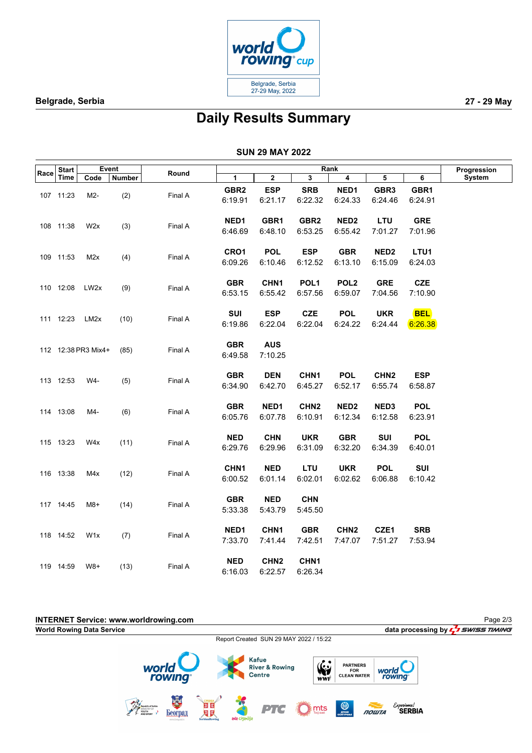

# **Daily Results Summary**

#### **SUN 29 MAY 2022**

|      | <b>Start</b> | Event               |        |         |                  |                  |                  | Rank             |                  |            | Progression |
|------|--------------|---------------------|--------|---------|------------------|------------------|------------------|------------------|------------------|------------|-------------|
| Race | <b>Time</b>  | Code                | Number | Round   | $\mathbf{1}$     | $\mathbf{2}$     | 3                | $\overline{4}$   | 5                | 6          | System      |
|      |              |                     |        |         | GBR2             | <b>ESP</b>       | <b>SRB</b>       | NED1             | GBR <sub>3</sub> | GBR1       |             |
|      | 107 11:23    | M2-                 | (2)    | Final A | 6:19.91          | 6:21.17          | 6:22.32          | 6:24.33          | 6:24.46          | 6:24.91    |             |
|      |              |                     |        |         |                  |                  |                  |                  |                  |            |             |
|      |              |                     |        |         | NED <sub>1</sub> | GBR1             | GBR <sub>2</sub> | NED <sub>2</sub> | LTU              | <b>GRE</b> |             |
|      | 108 11:38    | W2x                 | (3)    | Final A | 6:46.69          | 6:48.10          | 6:53.25          | 6:55.42          | 7:01.27          | 7:01.96    |             |
|      |              |                     |        |         |                  |                  |                  |                  |                  |            |             |
|      |              |                     |        |         | CRO1             | <b>POL</b>       | <b>ESP</b>       | <b>GBR</b>       | NED <sub>2</sub> | LTU1       |             |
|      | 109 11:53    | M2x                 | (4)    | Final A | 6:09.26          | 6:10.46          | 6:12.52          | 6:13.10          | 6:15.09          | 6:24.03    |             |
|      |              |                     |        |         |                  |                  |                  |                  |                  |            |             |
|      |              |                     |        |         | <b>GBR</b>       | CHN1             | POL <sub>1</sub> | POL <sub>2</sub> | <b>GRE</b>       | <b>CZE</b> |             |
|      | 110 12:08    | LW <sub>2x</sub>    | (9)    | Final A | 6:53.15          | 6:55.42          | 6:57.56          | 6:59.07          | 7:04.56          | 7:10.90    |             |
|      |              |                     |        |         |                  |                  |                  |                  |                  |            |             |
|      | 111 12:23    | LM2x                | (10)   | Final A | SUI              | <b>ESP</b>       | <b>CZE</b>       | <b>POL</b>       | <b>UKR</b>       | <b>BEL</b> |             |
|      |              |                     |        |         | 6:19.86          | 6:22.04          | 6:22.04          | 6:24.22          | 6:24.44          | 6:26.38    |             |
|      |              |                     |        |         |                  |                  |                  |                  |                  |            |             |
|      |              | 112 12:38 PR3 Mix4+ | (85)   | Final A | <b>GBR</b>       | <b>AUS</b>       |                  |                  |                  |            |             |
|      |              |                     |        |         | 6:49.58          | 7:10.25          |                  |                  |                  |            |             |
|      |              |                     |        |         |                  |                  |                  |                  |                  |            |             |
|      | 113 12:53    | W4-                 | (5)    | Final A | <b>GBR</b>       | <b>DEN</b>       | CHN <sub>1</sub> | <b>POL</b>       | CHN <sub>2</sub> | <b>ESP</b> |             |
|      |              |                     |        |         | 6:34.90          | 6:42.70          | 6:45.27          | 6:52.17          | 6:55.74          | 6:58.87    |             |
|      |              |                     |        |         | <b>GBR</b>       | NED1             | CHN <sub>2</sub> | NED <sub>2</sub> | NED3             | <b>POL</b> |             |
|      | 114 13:08    | M4-                 | (6)    | Final A | 6:05.76          | 6:07.78          | 6:10.91          | 6:12.34          | 6:12.58          | 6:23.91    |             |
|      |              |                     |        |         |                  |                  |                  |                  |                  |            |             |
|      |              |                     |        |         | <b>NED</b>       | <b>CHN</b>       | <b>UKR</b>       | <b>GBR</b>       | SUI              | <b>POL</b> |             |
|      | 115 13:23    | W4x                 | (11)   | Final A | 6:29.76          | 6:29.96          | 6:31.09          | 6:32.20          | 6:34.39          | 6:40.01    |             |
|      |              |                     |        |         |                  |                  |                  |                  |                  |            |             |
|      |              |                     |        |         | CHN <sub>1</sub> | <b>NED</b>       | LTU              | <b>UKR</b>       | <b>POL</b>       | SUI        |             |
|      | 116 13:38    | M4x                 | (12)   | Final A | 6:00.52          | 6:01.14          | 6:02.01          | 6:02.62          | 6:06.88          | 6:10.42    |             |
|      |              |                     |        |         |                  |                  |                  |                  |                  |            |             |
|      |              |                     |        |         | <b>GBR</b>       | <b>NED</b>       | <b>CHN</b>       |                  |                  |            |             |
|      | 117 14:45    | M8+                 | (14)   | Final A | 5:33.38          | 5:43.79          | 5:45.50          |                  |                  |            |             |
|      |              |                     |        |         |                  |                  |                  |                  |                  |            |             |
|      | 118 14:52    | W <sub>1x</sub>     | (7)    | Final A | NED1             | CHN <sub>1</sub> | <b>GBR</b>       | CHN <sub>2</sub> | CZE1             | <b>SRB</b> |             |
|      |              |                     |        |         | 7:33.70          | 7:41.44          | 7:42.51          | 7:47.07          | 7:51.27          | 7:53.94    |             |
|      |              |                     |        |         |                  |                  |                  |                  |                  |            |             |
|      | 119 14:59    | $W8+$               | (13)   | Final A | <b>NED</b>       | CHN <sub>2</sub> | CHN <sub>1</sub> |                  |                  |            |             |
|      |              |                     |        |         | 6:16.03          | 6:22.57          | 6:26.34          |                  |                  |            |             |